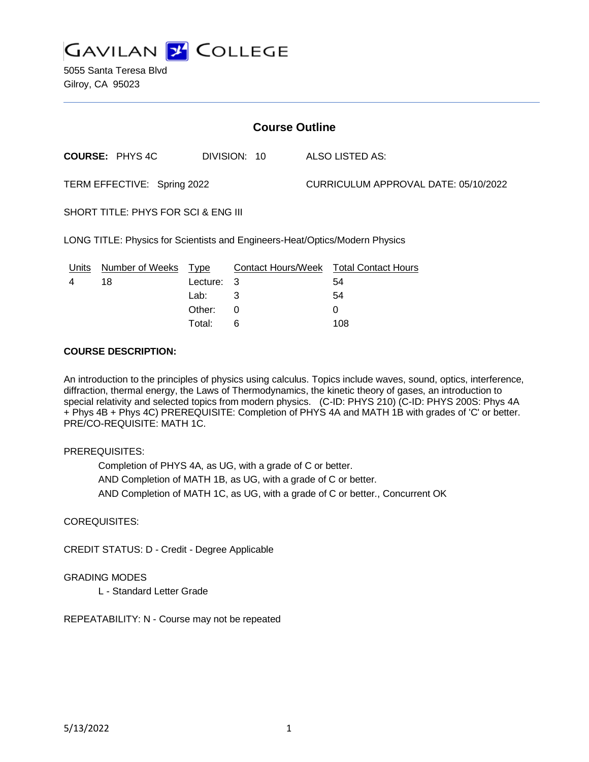

5055 Santa Teresa Blvd Gilroy, CA 95023

| <b>Course Outline</b>                                                       |                        |             |              |  |                                        |  |
|-----------------------------------------------------------------------------|------------------------|-------------|--------------|--|----------------------------------------|--|
|                                                                             | <b>COURSE: PHYS4C</b>  |             | DIVISION: 10 |  | ALSO LISTED AS:                        |  |
| TERM EFFECTIVE: Spring 2022                                                 |                        |             |              |  | CURRICULUM APPROVAL DATE: 05/10/2022   |  |
| SHORT TITLE: PHYS FOR SCI & ENG III                                         |                        |             |              |  |                                        |  |
| LONG TITLE: Physics for Scientists and Engineers-Heat/Optics/Modern Physics |                        |             |              |  |                                        |  |
| <u>Units</u>                                                                | <b>Number of Weeks</b> | <u>Type</u> |              |  | Contact Hours/Week Total Contact Hours |  |
| 4                                                                           | 18                     | Lecture:    | 3            |  | 54                                     |  |
|                                                                             |                        | Lab:        | 3            |  | 54                                     |  |
|                                                                             |                        | Other:      | 0            |  | 0                                      |  |

#### **COURSE DESCRIPTION:**

An introduction to the principles of physics using calculus. Topics include waves, sound, optics, interference, diffraction, thermal energy, the Laws of Thermodynamics, the kinetic theory of gases, an introduction to special relativity and selected topics from modern physics. (C-ID: PHYS 210) (C-ID: PHYS 200S: Phys 4A + Phys 4B + Phys 4C) PREREQUISITE: Completion of PHYS 4A and MATH 1B with grades of 'C' or better. PRE/CO-REQUISITE: MATH 1C.

#### PREREQUISITES:

Completion of PHYS 4A, as UG, with a grade of C or better. AND Completion of MATH 1B, as UG, with a grade of C or better. AND Completion of MATH 1C, as UG, with a grade of C or better., Concurrent OK

Total: 6 108

#### COREQUISITES:

CREDIT STATUS: D - Credit - Degree Applicable

#### GRADING MODES

L - Standard Letter Grade

REPEATABILITY: N - Course may not be repeated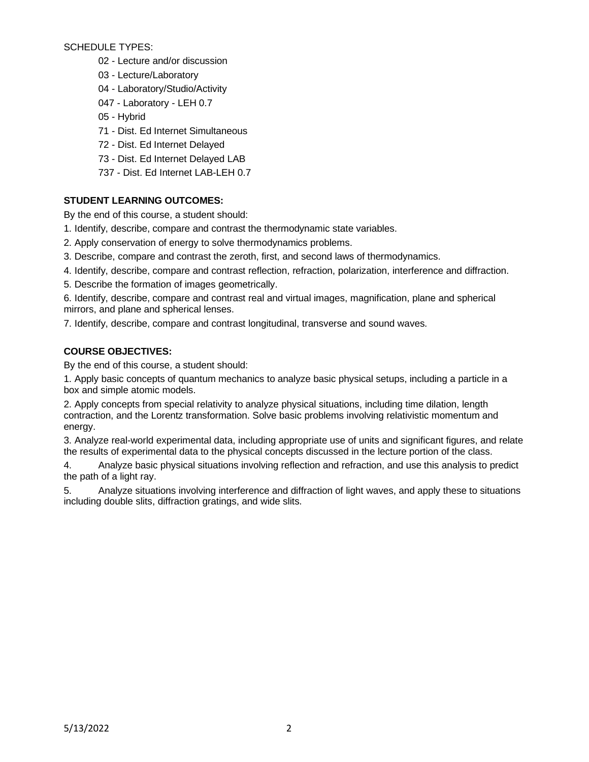SCHEDULE TYPES:

- 02 Lecture and/or discussion
- 03 Lecture/Laboratory
- 04 Laboratory/Studio/Activity
- 047 Laboratory LEH 0.7
- 05 Hybrid
- 71 Dist. Ed Internet Simultaneous
- 72 Dist. Ed Internet Delayed
- 73 Dist. Ed Internet Delayed LAB
- 737 Dist. Ed Internet LAB-LEH 0.7

# **STUDENT LEARNING OUTCOMES:**

By the end of this course, a student should:

- 1. Identify, describe, compare and contrast the thermodynamic state variables.
- 2. Apply conservation of energy to solve thermodynamics problems.
- 3. Describe, compare and contrast the zeroth, first, and second laws of thermodynamics.
- 4. Identify, describe, compare and contrast reflection, refraction, polarization, interference and diffraction.
- 5. Describe the formation of images geometrically.

6. Identify, describe, compare and contrast real and virtual images, magnification, plane and spherical mirrors, and plane and spherical lenses.

7. Identify, describe, compare and contrast longitudinal, transverse and sound waves.

# **COURSE OBJECTIVES:**

By the end of this course, a student should:

1. Apply basic concepts of quantum mechanics to analyze basic physical setups, including a particle in a box and simple atomic models.

2. Apply concepts from special relativity to analyze physical situations, including time dilation, length contraction, and the Lorentz transformation. Solve basic problems involving relativistic momentum and energy.

3. Analyze real-world experimental data, including appropriate use of units and significant figures, and relate the results of experimental data to the physical concepts discussed in the lecture portion of the class.

4. Analyze basic physical situations involving reflection and refraction, and use this analysis to predict the path of a light ray.

5. Analyze situations involving interference and diffraction of light waves, and apply these to situations including double slits, diffraction gratings, and wide slits.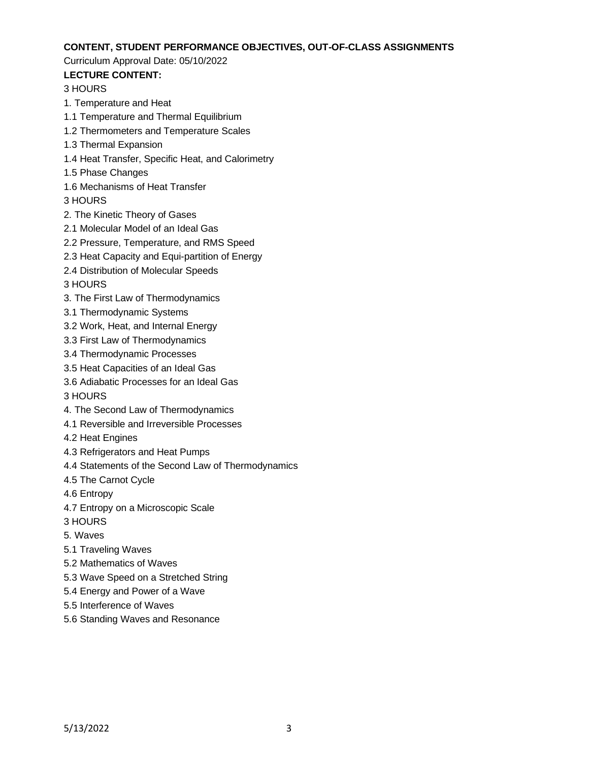#### **CONTENT, STUDENT PERFORMANCE OBJECTIVES, OUT-OF-CLASS ASSIGNMENTS**

#### Curriculum Approval Date: 05/10/2022

# **LECTURE CONTENT:**

# 3 HOURS

- 1. Temperature and Heat
- 1.1 Temperature and Thermal Equilibrium
- 1.2 Thermometers and Temperature Scales
- 1.3 Thermal Expansion
- 1.4 Heat Transfer, Specific Heat, and Calorimetry
- 1.5 Phase Changes
- 1.6 Mechanisms of Heat Transfer
- 3 HOURS
- 2. The Kinetic Theory of Gases
- 2.1 Molecular Model of an Ideal Gas
- 2.2 Pressure, Temperature, and RMS Speed
- 2.3 Heat Capacity and Equi-partition of Energy
- 2.4 Distribution of Molecular Speeds
- 3 HOURS
- 3. The First Law of Thermodynamics
- 3.1 Thermodynamic Systems
- 3.2 Work, Heat, and Internal Energy
- 3.3 First Law of Thermodynamics
- 3.4 Thermodynamic Processes
- 3.5 Heat Capacities of an Ideal Gas
- 3.6 Adiabatic Processes for an Ideal Gas
- 3 HOURS
- 4. The Second Law of Thermodynamics
- 4.1 Reversible and Irreversible Processes
- 4.2 Heat Engines
- 4.3 Refrigerators and Heat Pumps
- 4.4 Statements of the Second Law of Thermodynamics
- 4.5 The Carnot Cycle
- 4.6 Entropy
- 4.7 Entropy on a Microscopic Scale
- 3 HOURS
- 5. Waves
- 5.1 Traveling Waves
- 5.2 Mathematics of Waves
- 5.3 Wave Speed on a Stretched String
- 5.4 Energy and Power of a Wave
- 5.5 Interference of Waves
- 5.6 Standing Waves and Resonance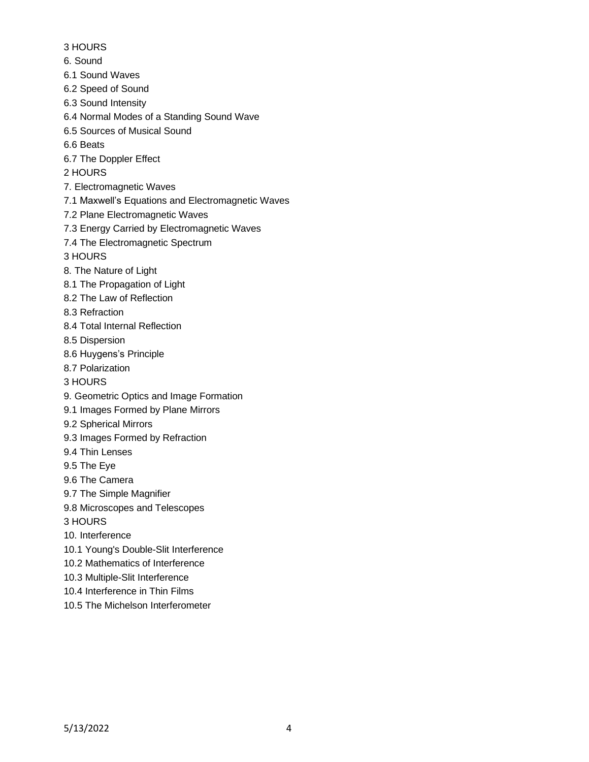- 3 HOURS
- 6. Sound
- 6.1 Sound Waves
- 6.2 Speed of Sound
- 6.3 Sound Intensity
- 6.4 Normal Modes of a Standing Sound Wave
- 6.5 Sources of Musical Sound
- 6.6 Beats
- 6.7 The Doppler Effect
- 2 HOURS
- 7. Electromagnetic Waves
- 7.1 Maxwell's Equations and Electromagnetic Waves
- 7.2 Plane Electromagnetic Waves
- 7.3 Energy Carried by Electromagnetic Waves
- 7.4 The Electromagnetic Spectrum

3 HOURS

- 8. The Nature of Light
- 8.1 The Propagation of Light
- 8.2 The Law of Reflection
- 8.3 Refraction
- 8.4 Total Internal Reflection
- 8.5 Dispersion
- 8.6 Huygens's Principle
- 8.7 Polarization
- 3 HOURS
- 9. Geometric Optics and Image Formation
- 9.1 Images Formed by Plane Mirrors
- 9.2 Spherical Mirrors
- 9.3 Images Formed by Refraction
- 9.4 Thin Lenses
- 9.5 The Eye
- 9.6 The Camera
- 9.7 The Simple Magnifier
- 9.8 Microscopes and Telescopes
- 3 HOURS
- 10. Interference
- 10.1 Young's Double-Slit Interference
- 10.2 Mathematics of Interference
- 10.3 Multiple-Slit Interference
- 10.4 Interference in Thin Films
- 10.5 The Michelson Interferometer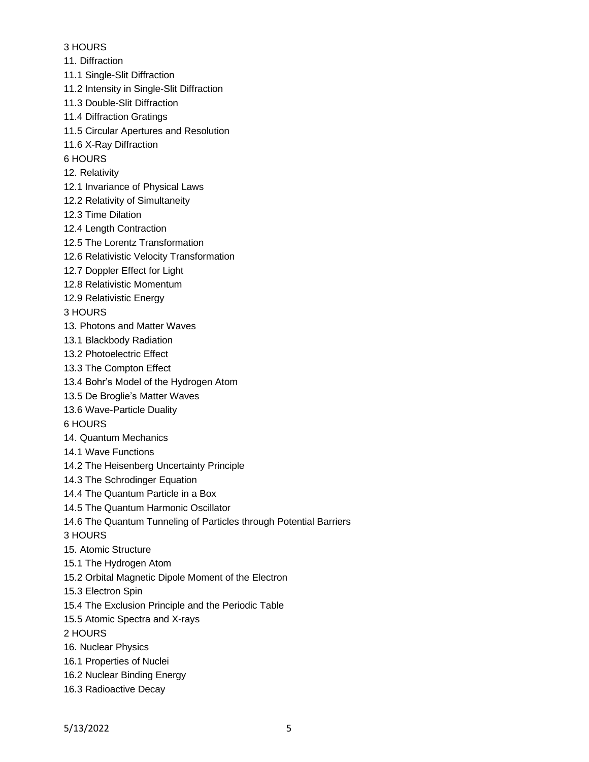### 3 HOURS

- 11. Diffraction
- 11.1 Single-Slit Diffraction
- 11.2 Intensity in Single-Slit Diffraction
- 11.3 Double-Slit Diffraction
- 11.4 Diffraction Gratings
- 11.5 Circular Apertures and Resolution
- 11.6 X-Ray Diffraction
- 6 HOURS
- 12. Relativity
- 12.1 Invariance of Physical Laws
- 12.2 Relativity of Simultaneity
- 12.3 Time Dilation
- 12.4 Length Contraction
- 12.5 The Lorentz Transformation
- 12.6 Relativistic Velocity Transformation
- 12.7 Doppler Effect for Light
- 12.8 Relativistic Momentum
- 12.9 Relativistic Energy
- 3 HOURS
- 13. Photons and Matter Waves
- 13.1 Blackbody Radiation
- 13.2 Photoelectric Effect
- 13.3 The Compton Effect
- 13.4 Bohr's Model of the Hydrogen Atom
- 13.5 De Broglie's Matter Waves
- 13.6 Wave-Particle Duality
- 6 HOURS
- 14. Quantum Mechanics
- 14.1 Wave Functions
- 14.2 The Heisenberg Uncertainty Principle
- 14.3 The Schrodinger Equation
- 14.4 The Quantum Particle in a Box
- 14.5 The Quantum Harmonic Oscillator
- 14.6 The Quantum Tunneling of Particles through Potential Barriers
- 3 HOURS
- 15. Atomic Structure
- 15.1 The Hydrogen Atom
- 15.2 Orbital Magnetic Dipole Moment of the Electron
- 15.3 Electron Spin
- 15.4 The Exclusion Principle and the Periodic Table
- 15.5 Atomic Spectra and X-rays
- 2 HOURS
- 16. Nuclear Physics
- 16.1 Properties of Nuclei
- 16.2 Nuclear Binding Energy
- 16.3 Radioactive Decay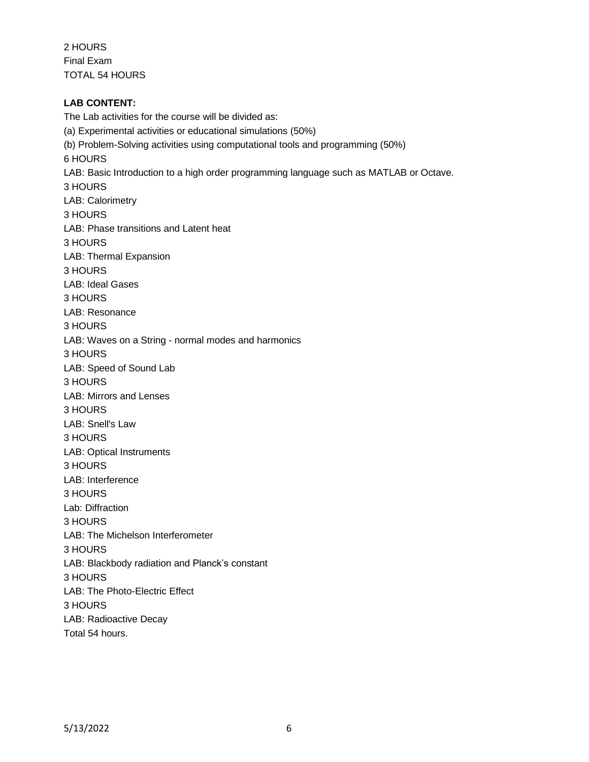2 HOURS Final Exam TOTAL 54 HOURS

# **LAB CONTENT:**

The Lab activities for the course will be divided as: (a) Experimental activities or educational simulations (50%) (b) Problem-Solving activities using computational tools and programming (50%) 6 HOURS LAB: Basic Introduction to a high order programming language such as MATLAB or Octave. 3 HOURS LAB: Calorimetry 3 HOURS LAB: Phase transitions and Latent heat 3 HOURS LAB: Thermal Expansion 3 HOURS LAB: Ideal Gases 3 HOURS LAB: Resonance 3 HOURS LAB: Waves on a String - normal modes and harmonics 3 HOURS LAB: Speed of Sound Lab 3 HOURS LAB: Mirrors and Lenses 3 HOURS LAB: Snell's Law 3 HOURS LAB: Optical Instruments 3 HOURS LAB: Interference 3 HOURS Lab: Diffraction 3 HOURS LAB: The Michelson Interferometer 3 HOURS LAB: Blackbody radiation and Planck's constant 3 HOURS LAB: The Photo-Electric Effect 3 HOURS LAB: Radioactive Decay Total 54 hours.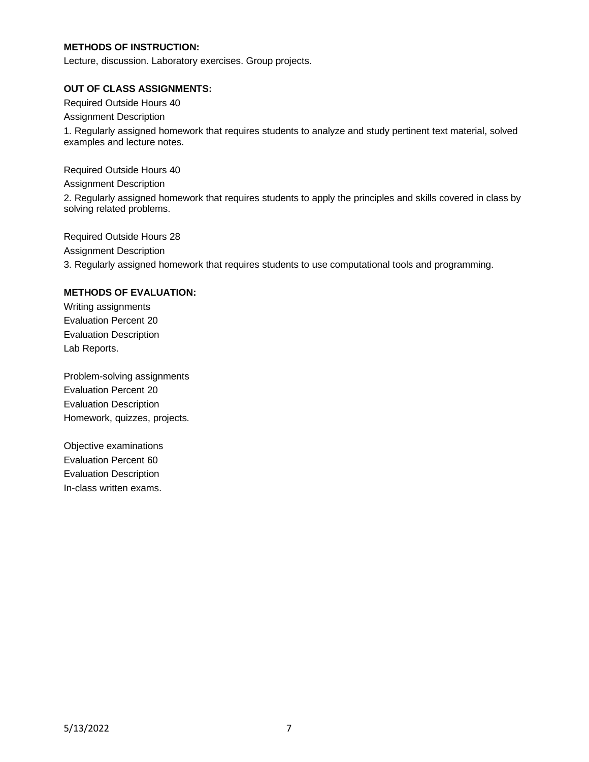### **METHODS OF INSTRUCTION:**

Lecture, discussion. Laboratory exercises. Group projects.

#### **OUT OF CLASS ASSIGNMENTS:**

Required Outside Hours 40

Assignment Description

1. Regularly assigned homework that requires students to analyze and study pertinent text material, solved examples and lecture notes.

Required Outside Hours 40

Assignment Description

2. Regularly assigned homework that requires students to apply the principles and skills covered in class by solving related problems.

Required Outside Hours 28 Assignment Description 3. Regularly assigned homework that requires students to use computational tools and programming.

#### **METHODS OF EVALUATION:**

Writing assignments Evaluation Percent 20 Evaluation Description Lab Reports.

Problem-solving assignments Evaluation Percent 20 Evaluation Description Homework, quizzes, projects.

Objective examinations Evaluation Percent 60 Evaluation Description In-class written exams.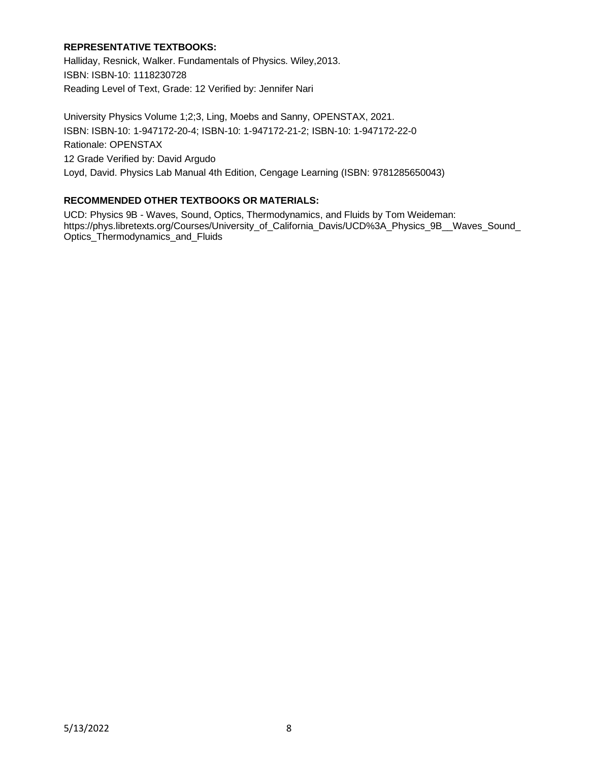# **REPRESENTATIVE TEXTBOOKS:**

Halliday, Resnick, Walker. Fundamentals of Physics. Wiley,2013. ISBN: ISBN-10: 1118230728 Reading Level of Text, Grade: 12 Verified by: Jennifer Nari

University Physics Volume 1;2;3, Ling, Moebs and Sanny, OPENSTAX, 2021. ISBN: ISBN-10: 1-947172-20-4; ISBN-10: 1-947172-21-2; ISBN-10: 1-947172-22-0 Rationale: OPENSTAX 12 Grade Verified by: David Argudo Loyd, David. Physics Lab Manual 4th Edition, Cengage Learning (ISBN: 9781285650043)

# **RECOMMENDED OTHER TEXTBOOKS OR MATERIALS:**

UCD: Physics 9B - Waves, Sound, Optics, Thermodynamics, and Fluids by Tom Weideman: https://phys.libretexts.org/Courses/University\_of\_California\_Davis/UCD%3A\_Physics\_9B\_\_Waves\_Sound\_ Optics\_Thermodynamics\_and\_Fluids